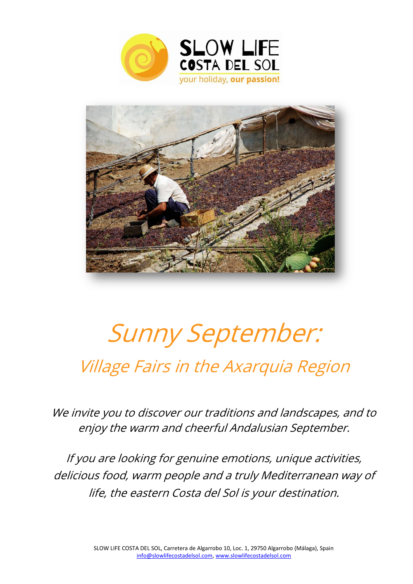



# Sunny September: Village Fairs in the Axarquia Region

We invite you to discover our traditions and landscapes, and to enjoy the warm and cheerful Andalusian September.

If you are looking for genuine emotions, unique activities, delicious food, warm people and a truly Mediterranean way of life, the eastern Costa del Sol is your destination.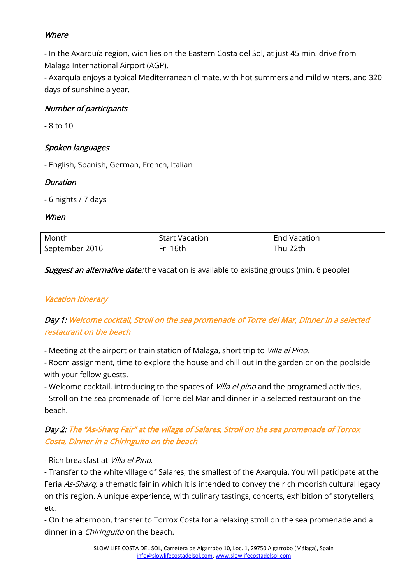# **Where**

- In the Axarquía region, wich lies on the Eastern Costa del Sol, at just 45 min. drive from Malaga International Airport (AGP).

- Axarquía enjoys a typical Mediterranean climate, with hot summers and mild winters, and 320 days of sunshine a year.

## Number of participants

- 8 to 10

# Spoken languages

- English, Spanish, German, French, Italian

# Duration

- 6 nights / 7 days

## When

| Month          | <b>Start Vacation</b> | Vacation<br>End |
|----------------|-----------------------|-----------------|
| September 2016 | Fri 16th              | 22th<br>hu      |

**Suggest an alternative date:** the vacation is available to existing groups (min. 6 people)

# **Vacation Itinerary**

# Day 1: Welcome cocktail, Stroll on the sea promenade of Torre del Mar, Dinner in a selected restaurant on the beach

- Meeting at the airport or train station of Malaga, short trip to Villa el Pino.

- Room assignment, time to explore the house and chill out in the garden or on the poolside with your fellow guests.

- Welcome cocktail, introducing to the spaces of *Villa el pino* and the programed activities.

- Stroll on the sea promenade of Torre del Mar and dinner in a selected restaurant on the beach.

# Day 2: The "As-Sharq Fair" at the village of Salares, Stroll on the sea promenade of Torrox Costa, Dinner in a Chiringuito on the beach

- Rich breakfast at Villa el Pino.

- Transfer to the white village of Salares, the smallest of the Axarquia. You will paticipate at the Feria As-Sharq, a thematic fair in which it is intended to convey the rich moorish cultural legacy on this region. A unique experience, with culinary tastings, concerts, exhibition of storytellers, etc.

- On the afternoon, transfer to Torrox Costa for a relaxing stroll on the sea promenade and a dinner in a *Chiringuito* on the beach.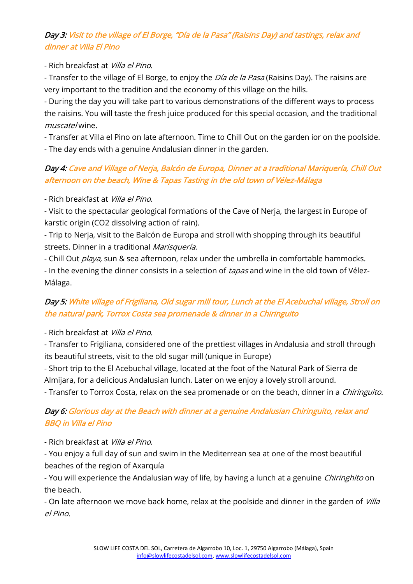# Day 3: Visit to the village of El Borge, "Día de la Pasa" (Raisins Day) and tastings, relax and dinner at Villa El Pino

- Rich breakfast at Villa el Pino.

- Transfer to the village of El Borge, to enjoy the *Día de la Pasa* (Raisins Day). The raisins are very important to the tradition and the economy of this village on the hills.

- During the day you will take part to various demonstrations of the different ways to process the raisins. You will taste the fresh juice produced for this special occasion, and the traditional muscatel wine.

- Transfer at Villa el Pino on late afternoon. Time to Chill Out on the garden ior on the poolside. - The day ends with a genuine Andalusian dinner in the garden.

# Day 4: Cave and Village of Nerja, Balcón de Europa, Dinner at a traditional Mariquería, Chill Out afternoon on the beach, Wine & Tapas Tasting in the old town of Vélez-Málaga

- Rich breakfast at Villa el Pino.

- Visit to the spectacular geological formations of the Cave of Nerja, the largest in Europe of karstic origin (CO2 dissolving action of rain).

- Trip to Nerja, visit to the Balcón de Europa and stroll with shopping through its beautiful streets. Dinner in a traditional Marisquería.

- Chill Out *playa*, sun & sea afternoon, relax under the umbrella in comfortable hammocks.

- In the evening the dinner consists in a selection of tapas and wine in the old town of Vélez-Málaga.

# Day 5: White village of Frigiliana, Old sugar mill tour, Lunch at the El Acebuchal village, Stroll on the natural park, Torrox Costa sea promenade & dinner in a Chiringuito

- Rich breakfast at Villa el Pino.

- Transfer to Frigiliana, considered one of the prettiest villages in Andalusia and stroll through its beautiful streets, visit to the old sugar mill (unique in Europe)

- Short trip to the El Acebuchal village, located at the foot of the Natural Park of Sierra de Almijara, for a delicious Andalusian lunch. Later on we enjoy a lovely stroll around.

- Transfer to Torrox Costa, relax on the sea promenade or on the beach, dinner in a *Chiringuito*.

# Day 6: Glorious day at the Beach with dinner at a genuine Andalusian Chiringuito, relax and BBQ in Villa el Pino

- Rich breakfast at Villa el Pino.

- You enjoy a full day of sun and swim in the Mediterrean sea at one of the most beautiful beaches of the region of Axarquía

- You will experience the Andalusian way of life, by having a lunch at a genuine *Chiringhito* on the beach.

- On late afternoon we move back home, relax at the poolside and dinner in the garden of *Villa* el Pino.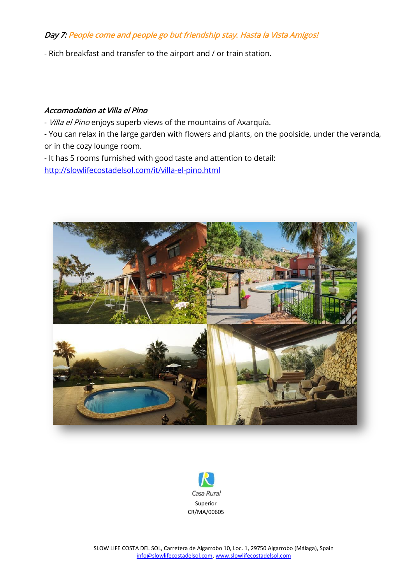## Day 7: People come and people go but friendship stay. Hasta la Vista Amigos!

- Rich breakfast and transfer to the airport and / or train station.

#### Accomodation at Villa el Pino

- Villa el Pino enjoys superb views of the mountains of Axarquía.
- You can relax in the large garden with flowers and plants, on the poolside, under the veranda, or in the cozy lounge room.
- It has 5 rooms furnished with good taste and attention to detail: <http://slowlifecostadelsol.com/it/villa-el-pino.html>



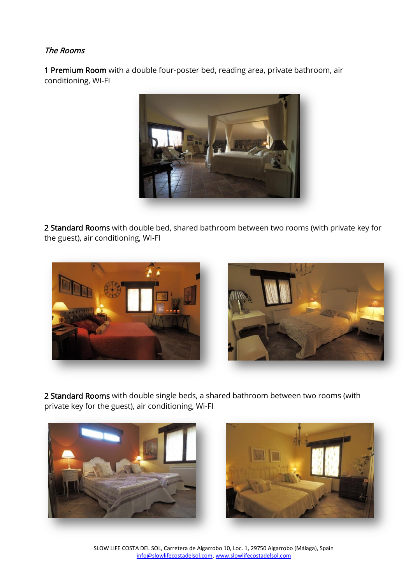## The Rooms

1 Premium Room with a double four-poster bed, reading area, private bathroom, air conditioning, WI-FI



2 Standard Rooms with double bed, shared bathroom between two rooms (with private key for the guest), air conditioning, WI-FI



2 Standard Rooms with double single beds, a shared bathroom between two rooms (with private key for the guest), air conditioning, Wi-FI



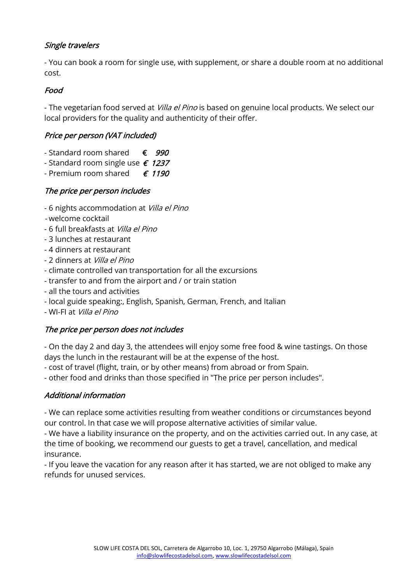## Single travelers

- You can book a room for single use, with supplement, or share a double room at no additional cost.

## Food

- The vegetarian food served at *Villa el Pino* is based on genuine local products. We select our local providers for the quality and authenticity of their offer.

## Price per person (VAT included)

- Standard room shared  $\epsilon$  990
- Standard room single use  $\epsilon$  1237
- Premium room shared  $\epsilon$  1190

## The price per person includes

- 6 nights accommodation at Villa el Pino
- welcome cocktail
- 6 full breakfasts at Villa el Pino
- 3 lunches at restaurant
- 4 dinners at restaurant
- 2 dinners at Villa el Pino
- climate controlled van transportation for all the excursions
- transfer to and from the airport and / or train station
- all the tours and activities
- local guide speaking:, English, Spanish, German, French, and Italian
- WI-FI at Villa el Pino

## The price per person does not includes

- On the day 2 and day 3, the attendees will enjoy some free food & wine tastings. On those days the lunch in the restaurant will be at the expense of the host.

- cost of travel (flight, train, or by other means) from abroad or from Spain.

- other food and drinks than those specified in "The price per person includes".

## Additional information

- We can replace some activities resulting from weather conditions or circumstances beyond our control. In that case we will propose alternative activities of similar value.

- We have a liability insurance on the property, and on the activities carried out. In any case, at the time of booking, we recommend our guests to get a travel, cancellation, and medical insurance.

- If you leave the vacation for any reason after it has started, we are not obliged to make any refunds for unused services.